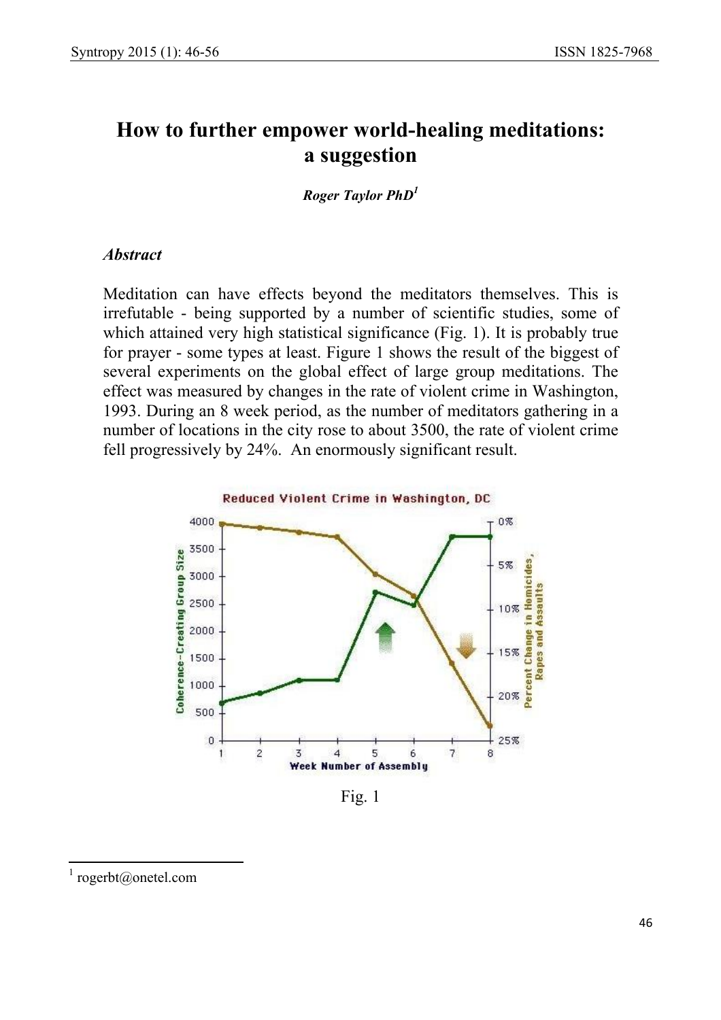# **How to further empower world-healing meditations: a suggestion**

*Roger Taylor PhD<sup>1</sup>*

#### *Abstract*

Meditation can have effects beyond the meditators themselves. This is irrefutable - being supported by a number of scientific studies, some of which attained very high statistical significance (Fig. 1). It is probably true for prayer - some types at least. Figure 1 shows the result of the biggest of several experiments on the global effect of large group meditations. The effect was measured by changes in the rate of violent crime in Washington, 1993. During an 8 week period, as the number of meditators gathering in a number of locations in the city rose to about 3500, the rate of violent crime fell progressively by 24%. An enormously significant result.



Fig. 1

 $\overline{\phantom{a}}$ 

<sup>&</sup>lt;sup>1</sup> rogerbt@onetel.com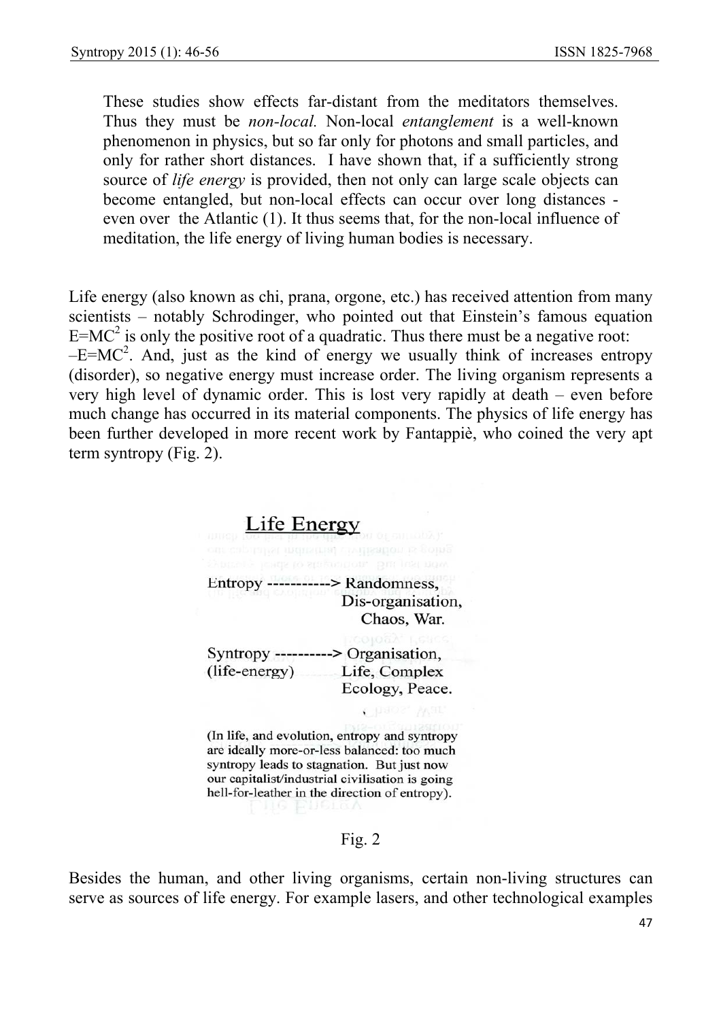These studies show effects far-distant from the meditators themselves. Thus they must be *non-local.* Non-local *entanglement* is a well-known phenomenon in physics, but so far only for photons and small particles, and only for rather short distances. I have shown that, if a sufficiently strong source of *life energy* is provided, then not only can large scale objects can become entangled, but non-local effects can occur over long distances even over the Atlantic (1). It thus seems that, for the non-local influence of meditation, the life energy of living human bodies is necessary.

Life energy (also known as chi, prana, orgone, etc.) has received attention from many scientists – notably Schrodinger, who pointed out that Einstein's famous equation  $E=MC^2$  is only the positive root of a quadratic. Thus there must be a negative root:  $-E=MC<sup>2</sup>$ . And, just as the kind of energy we usually think of increases entropy (disorder), so negative energy must increase order. The living organism represents a very high level of dynamic order. This is lost very rapidly at death – even before much change has occurred in its material components. The physics of life energy has been further developed in more recent work by Fantappiè, who coined the very apt term syntropy (Fig. 2).

# Life Energy mdustrial civilisation is goin Entropy -----------> Randomness, Dis-organisation, Chaos, War. Syntropy ----------> Organisation,  $(life-energy)$ Life, Complex Ecology, Peace.

(In life, and evolution, entropy and syntropy are ideally more-or-less balanced: too much syntropy leads to stagnation. But just now our capitalist/industrial civilisation is going hell-for-leather in the direction of entropy).

#### Fig. 2

Besides the human, and other living organisms, certain non-living structures can serve as sources of life energy. For example lasers, and other technological examples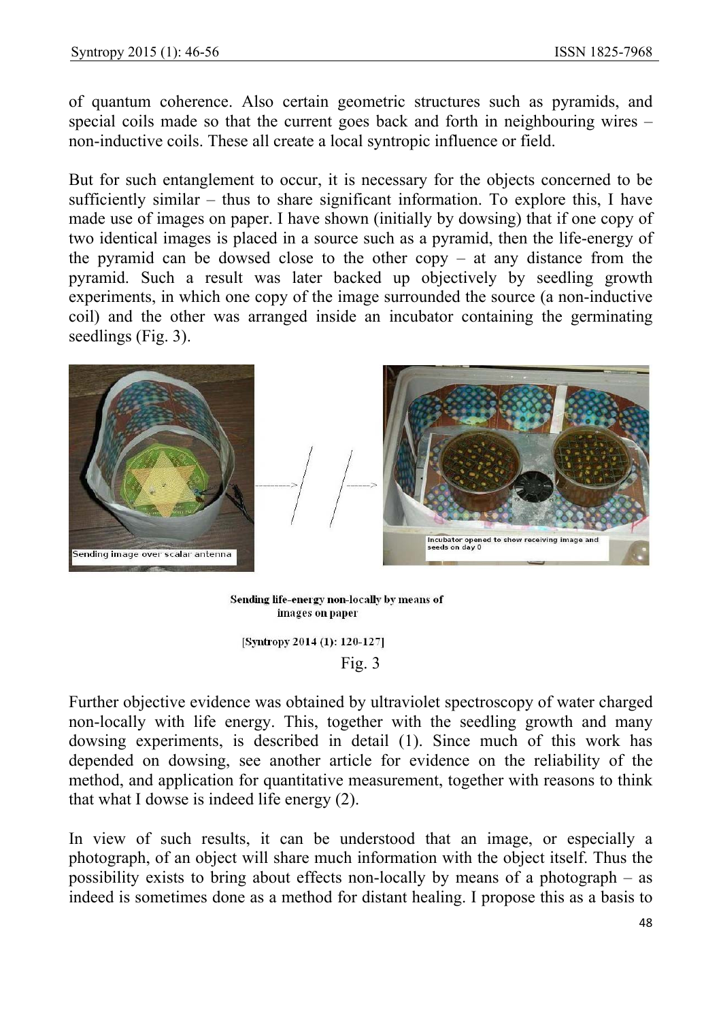of quantum coherence. Also certain geometric structures such as pyramids, and special coils made so that the current goes back and forth in neighbouring wires – non-inductive coils. These all create a local syntropic influence or field.

But for such entanglement to occur, it is necessary for the objects concerned to be sufficiently similar – thus to share significant information. To explore this, I have made use of images on paper. I have shown (initially by dowsing) that if one copy of two identical images is placed in a source such as a pyramid, then the life-energy of the pyramid can be dowsed close to the other copy – at any distance from the pyramid. Such a result was later backed up objectively by seedling growth experiments, in which one copy of the image surrounded the source (a non-inductive coil) and the other was arranged inside an incubator containing the germinating seedlings (Fig. 3).



Sending life-energy non-locally by means of images on paper

[Syntropy 2014 (1): 120-127] Fig. 3

Further objective evidence was obtained by ultraviolet spectroscopy of water charged non-locally with life energy. This, together with the seedling growth and many dowsing experiments, is described in detail (1). Since much of this work has depended on dowsing, see another article for evidence on the reliability of the method, and application for quantitative measurement, together with reasons to think that what I dowse is indeed life energy (2).

In view of such results, it can be understood that an image, or especially a photograph, of an object will share much information with the object itself. Thus the possibility exists to bring about effects non-locally by means of a photograph – as indeed is sometimes done as a method for distant healing. I propose this as a basis to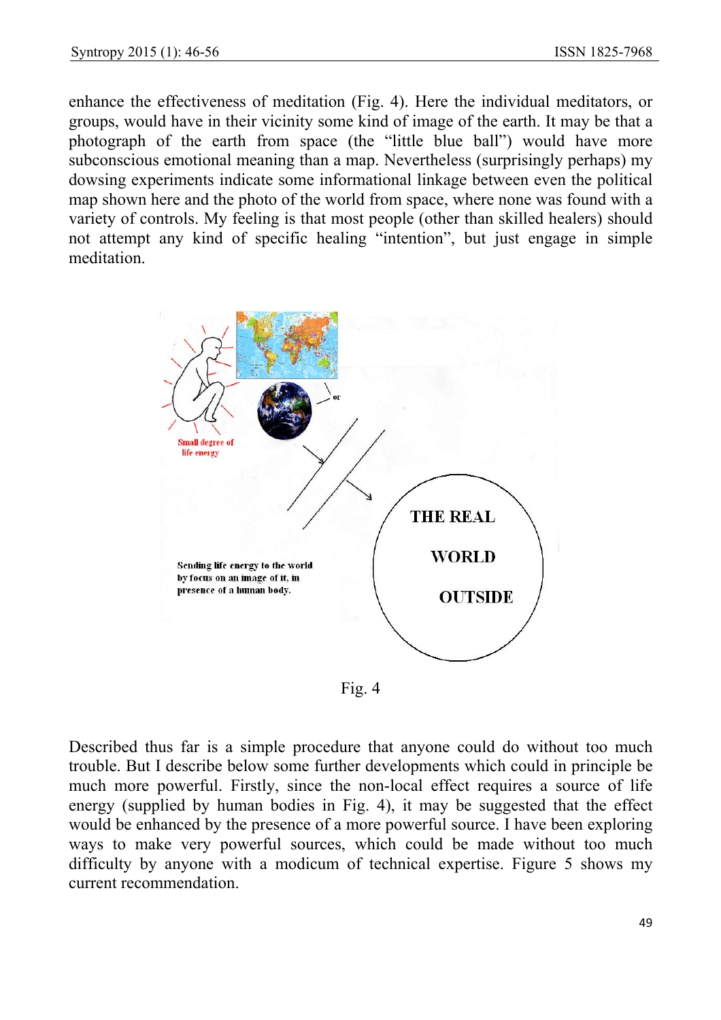enhance the effectiveness of meditation (Fig. 4). Here the individual meditators, or groups, would have in their vicinity some kind of image of the earth. It may be that a photograph of the earth from space (the "little blue ball") would have more subconscious emotional meaning than a map. Nevertheless (surprisingly perhaps) my dowsing experiments indicate some informational linkage between even the political map shown here and the photo of the world from space, where none was found with a variety of controls. My feeling is that most people (other than skilled healers) should not attempt any kind of specific healing "intention", but just engage in simple meditation.



Fig. 4

Described thus far is a simple procedure that anyone could do without too much trouble. But I describe below some further developments which could in principle be much more powerful. Firstly, since the non-local effect requires a source of life energy (supplied by human bodies in Fig. 4), it may be suggested that the effect would be enhanced by the presence of a more powerful source. I have been exploring ways to make very powerful sources, which could be made without too much difficulty by anyone with a modicum of technical expertise. Figure 5 shows my current recommendation.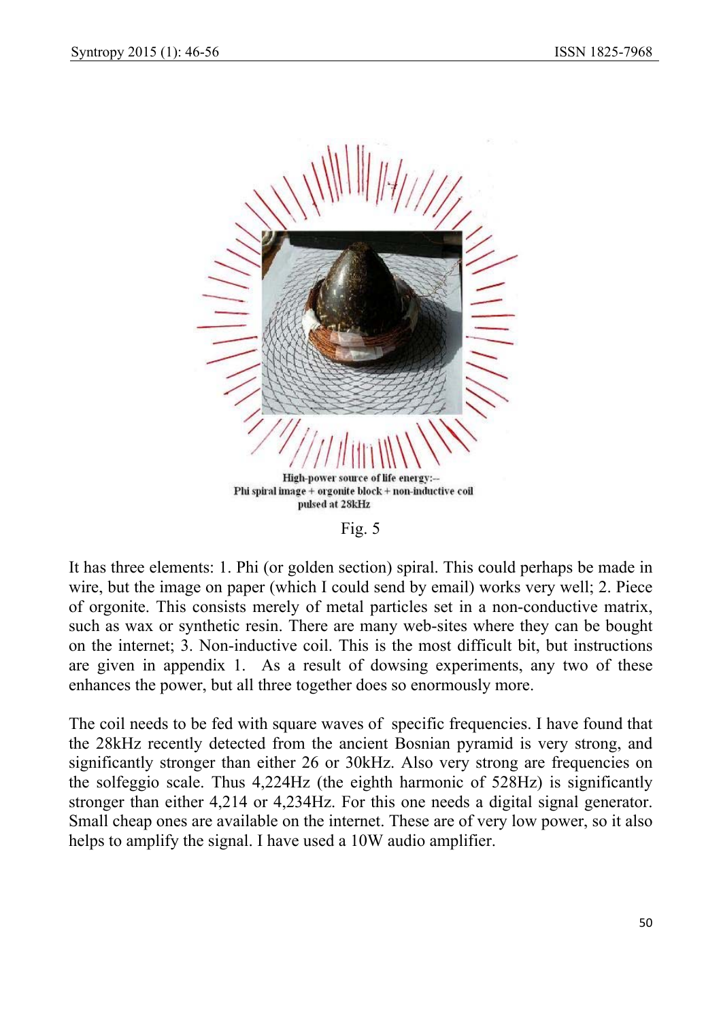

Fig. 5

It has three elements: 1. Phi (or golden section) spiral. This could perhaps be made in wire, but the image on paper (which I could send by email) works very well; 2. Piece of orgonite. This consists merely of metal particles set in a non-conductive matrix, such as wax or synthetic resin. There are many web-sites where they can be bought on the internet; 3. Non-inductive coil. This is the most difficult bit, but instructions are given in appendix 1. As a result of dowsing experiments, any two of these enhances the power, but all three together does so enormously more.

The coil needs to be fed with square waves of specific frequencies. I have found that the 28kHz recently detected from the ancient Bosnian pyramid is very strong, and significantly stronger than either 26 or 30kHz. Also very strong are frequencies on the solfeggio scale. Thus 4,224Hz (the eighth harmonic of 528Hz) is significantly stronger than either 4,214 or 4,234Hz. For this one needs a digital signal generator. Small cheap ones are available on the internet. These are of very low power, so it also helps to amplify the signal. I have used a 10W audio amplifier.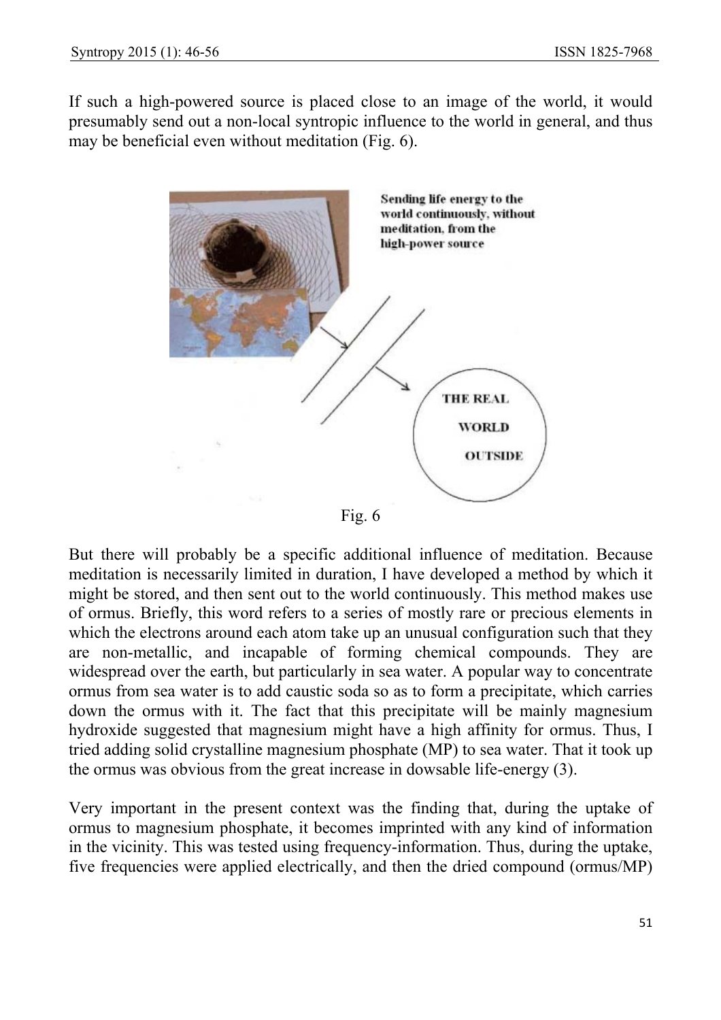If such a high-powered source is placed close to an image of the world, it would presumably send out a non-local syntropic influence to the world in general, and thus may be beneficial even without meditation (Fig. 6).



But there will probably be a specific additional influence of meditation. Because meditation is necessarily limited in duration, I have developed a method by which it might be stored, and then sent out to the world continuously. This method makes use of ormus. Briefly, this word refers to a series of mostly rare or precious elements in which the electrons around each atom take up an unusual configuration such that they are non-metallic, and incapable of forming chemical compounds. They are widespread over the earth, but particularly in sea water. A popular way to concentrate ormus from sea water is to add caustic soda so as to form a precipitate, which carries down the ormus with it. The fact that this precipitate will be mainly magnesium hydroxide suggested that magnesium might have a high affinity for ormus. Thus, I tried adding solid crystalline magnesium phosphate (MP) to sea water. That it took up the ormus was obvious from the great increase in dowsable life-energy (3).

Very important in the present context was the finding that, during the uptake of ormus to magnesium phosphate, it becomes imprinted with any kind of information in the vicinity. This was tested using frequency-information. Thus, during the uptake, five frequencies were applied electrically, and then the dried compound (ormus/MP)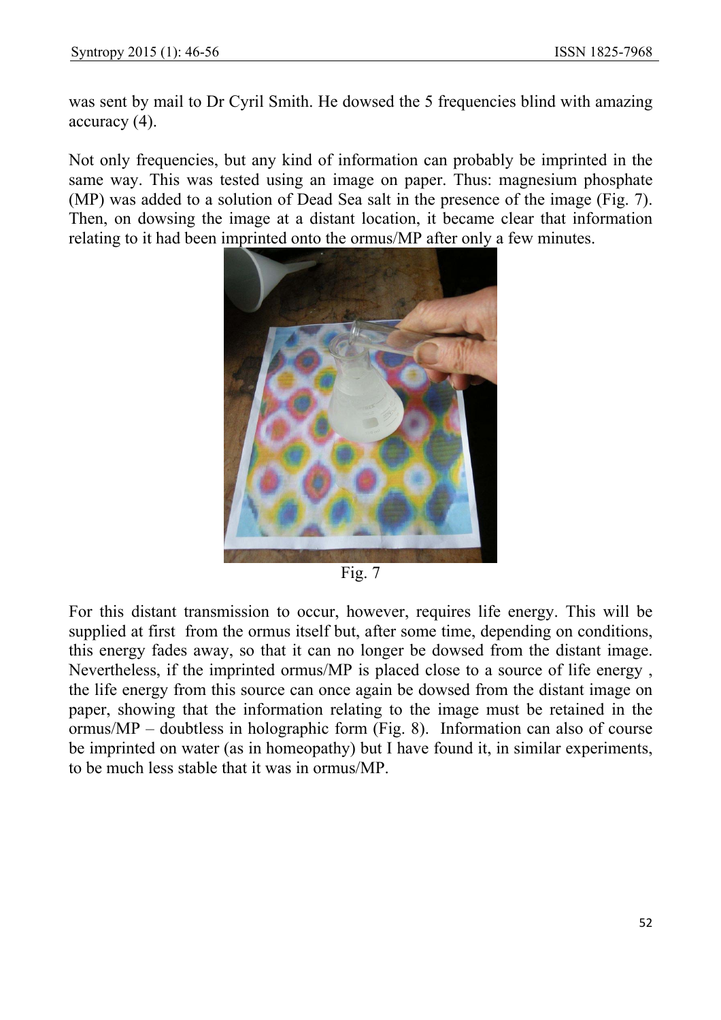was sent by mail to Dr Cyril Smith. He dowsed the 5 frequencies blind with amazing accuracy (4).

Not only frequencies, but any kind of information can probably be imprinted in the same way. This was tested using an image on paper. Thus: magnesium phosphate (MP) was added to a solution of Dead Sea salt in the presence of the image (Fig. 7). Then, on dowsing the image at a distant location, it became clear that information relating to it had been imprinted onto the ormus/MP after only a few minutes.



Fig. 7

For this distant transmission to occur, however, requires life energy. This will be supplied at first from the ormus itself but, after some time, depending on conditions, this energy fades away, so that it can no longer be dowsed from the distant image. Nevertheless, if the imprinted ormus/MP is placed close to a source of life energy , the life energy from this source can once again be dowsed from the distant image on paper, showing that the information relating to the image must be retained in the ormus/MP – doubtless in holographic form (Fig. 8). Information can also of course be imprinted on water (as in homeopathy) but I have found it, in similar experiments, to be much less stable that it was in ormus/MP.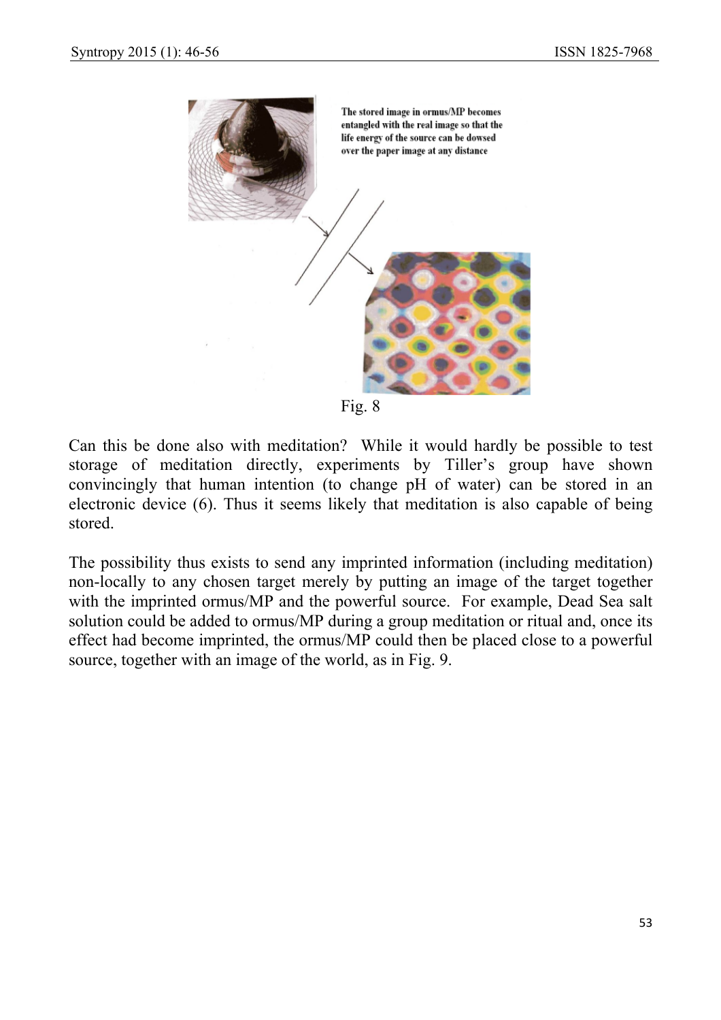

Fig. 8

Can this be done also with meditation? While it would hardly be possible to test storage of meditation directly, experiments by Tiller's group have shown convincingly that human intention (to change pH of water) can be stored in an electronic device (6). Thus it seems likely that meditation is also capable of being stored.

The possibility thus exists to send any imprinted information (including meditation) non-locally to any chosen target merely by putting an image of the target together with the imprinted ormus/MP and the powerful source. For example, Dead Sea salt solution could be added to ormus/MP during a group meditation or ritual and, once its effect had become imprinted, the ormus/MP could then be placed close to a powerful source, together with an image of the world, as in Fig. 9.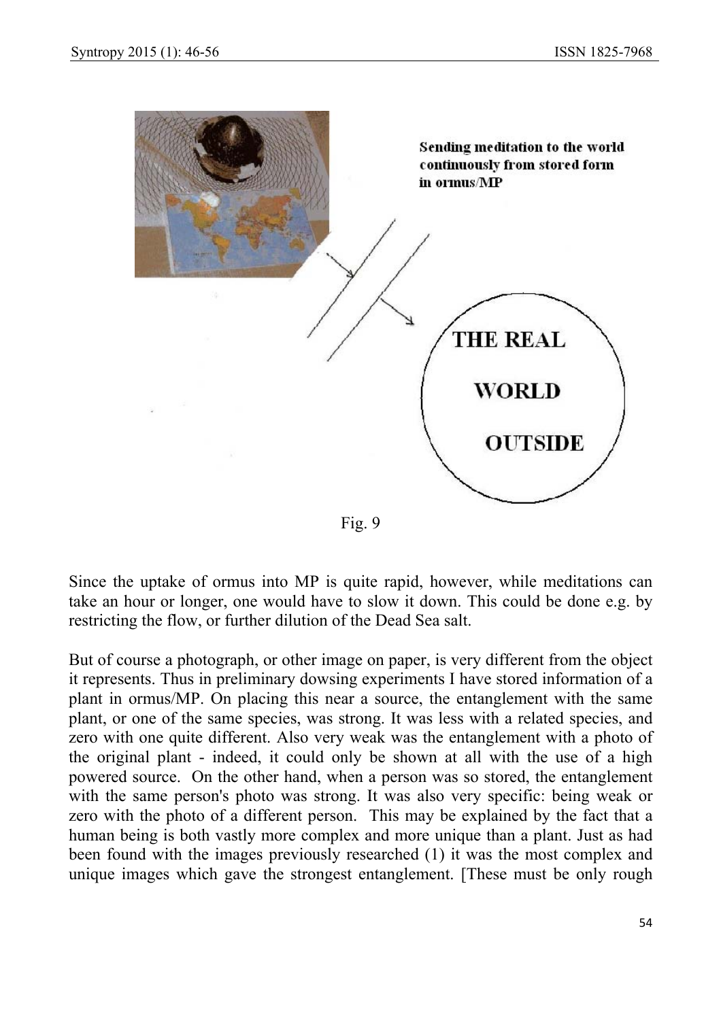

Fig. 9

Since the uptake of ormus into MP is quite rapid, however, while meditations can take an hour or longer, one would have to slow it down. This could be done e.g. by restricting the flow, or further dilution of the Dead Sea salt.

But of course a photograph, or other image on paper, is very different from the object it represents. Thus in preliminary dowsing experiments I have stored information of a plant in ormus/MP. On placing this near a source, the entanglement with the same plant, or one of the same species, was strong. It was less with a related species, and zero with one quite different. Also very weak was the entanglement with a photo of the original plant - indeed, it could only be shown at all with the use of a high powered source. On the other hand, when a person was so stored, the entanglement with the same person's photo was strong. It was also very specific: being weak or zero with the photo of a different person. This may be explained by the fact that a human being is both vastly more complex and more unique than a plant. Just as had been found with the images previously researched (1) it was the most complex and unique images which gave the strongest entanglement. [These must be only rough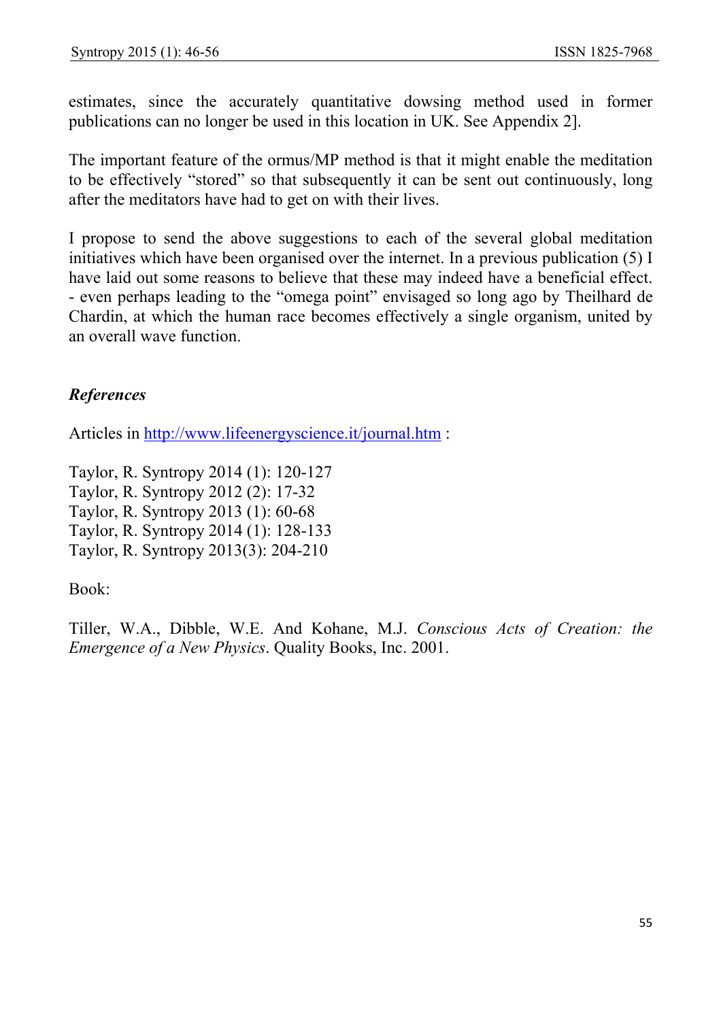estimates, since the accurately quantitative dowsing method used in former publications can no longer be used in this location in UK. See Appendix 2].

The important feature of the ormus/MP method is that it might enable the meditation to be effectively "stored" so that subsequently it can be sent out continuously, long after the meditators have had to get on with their lives.

I propose to send the above suggestions to each of the several global meditation initiatives which have been organised over the internet. In a previous publication (5) I have laid out some reasons to believe that these may indeed have a beneficial effect. - even perhaps leading to the "omega point" envisaged so long ago by Theilhard de Chardin, at which the human race becomes effectively a single organism, united by an overall wave function.

## *References*

Articles in http://www.lifeenergyscience.it/journal.htm :

Taylor, R. Syntropy 2014 (1): 120-127 Taylor, R. Syntropy 2012 (2): 17-32 Taylor, R. Syntropy 2013 (1): 60-68 Taylor, R. Syntropy 2014 (1): 128-133 Taylor, R. Syntropy 2013(3): 204-210

## Book:

Tiller, W.A., Dibble, W.E. And Kohane, M.J. *Conscious Acts of Creation: the Emergence of a New Physics*. Quality Books, Inc. 2001.